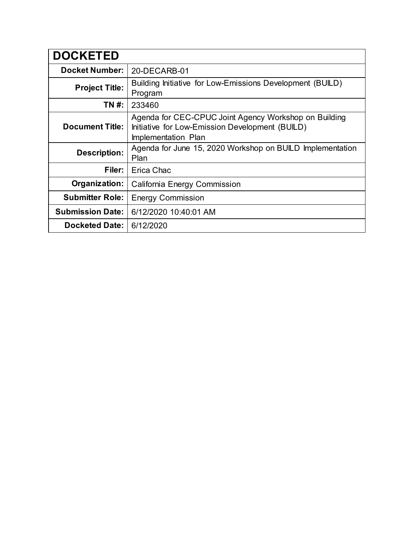| <b>DOCKETED</b>         |                                                                                                                                 |
|-------------------------|---------------------------------------------------------------------------------------------------------------------------------|
| <b>Docket Number:</b>   | 20-DECARB-01                                                                                                                    |
| <b>Project Title:</b>   | Building Initiative for Low-Emissions Development (BUILD)<br>Program                                                            |
| TN #:                   | 233460                                                                                                                          |
| <b>Document Title:</b>  | Agenda for CEC-CPUC Joint Agency Workshop on Building<br>Initiative for Low-Emission Development (BUILD)<br>Implementation Plan |
| <b>Description:</b>     | Agenda for June 15, 2020 Workshop on BUILD Implementation<br>Plan                                                               |
| Filer:                  | Erica Chac                                                                                                                      |
| Organization:           | California Energy Commission                                                                                                    |
| <b>Submitter Role:</b>  | <b>Energy Commission</b>                                                                                                        |
| <b>Submission Date:</b> | 6/12/2020 10:40:01 AM                                                                                                           |
| <b>Docketed Date:</b>   | 6/12/2020                                                                                                                       |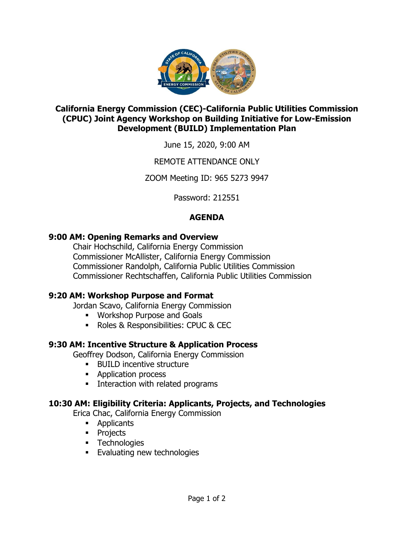

## **California Energy Commission (CEC)-California Public Utilities Commission (CPUC) Joint Agency Workshop on Building Initiative for Low-Emission Development (BUILD) Implementation Plan**

June 15, 2020, 9:00 AM

## REMOTE ATTENDANCE ONLY

ZOOM Meeting ID: 965 5273 9947

Password: 212551

# **AGENDA**

## **9:00 AM: Opening Remarks and Overview**

Chair Hochschild, California Energy Commission Commissioner McAllister, California Energy Commission Commissioner Randolph, California Public Utilities Commission Commissioner Rechtschaffen, California Public Utilities Commission

# **9:20 AM: Workshop Purpose and Format**

Jordan Scavo, California Energy Commission

- Workshop Purpose and Goals
- Roles & Responsibilities: CPUC & CEC

# **9:30 AM: Incentive Structure & Application Process**

Geoffrey Dodson, California Energy Commission

- BUILD incentive structure
- Application process
- **EXECUTE:** Interaction with related programs

### **10:30 AM: Eligibility Criteria: Applicants, Projects, and Technologies**

Erica Chac, California Energy Commission

- Applicants
- Projects
- **•** Technologies
- **Evaluating new technologies**